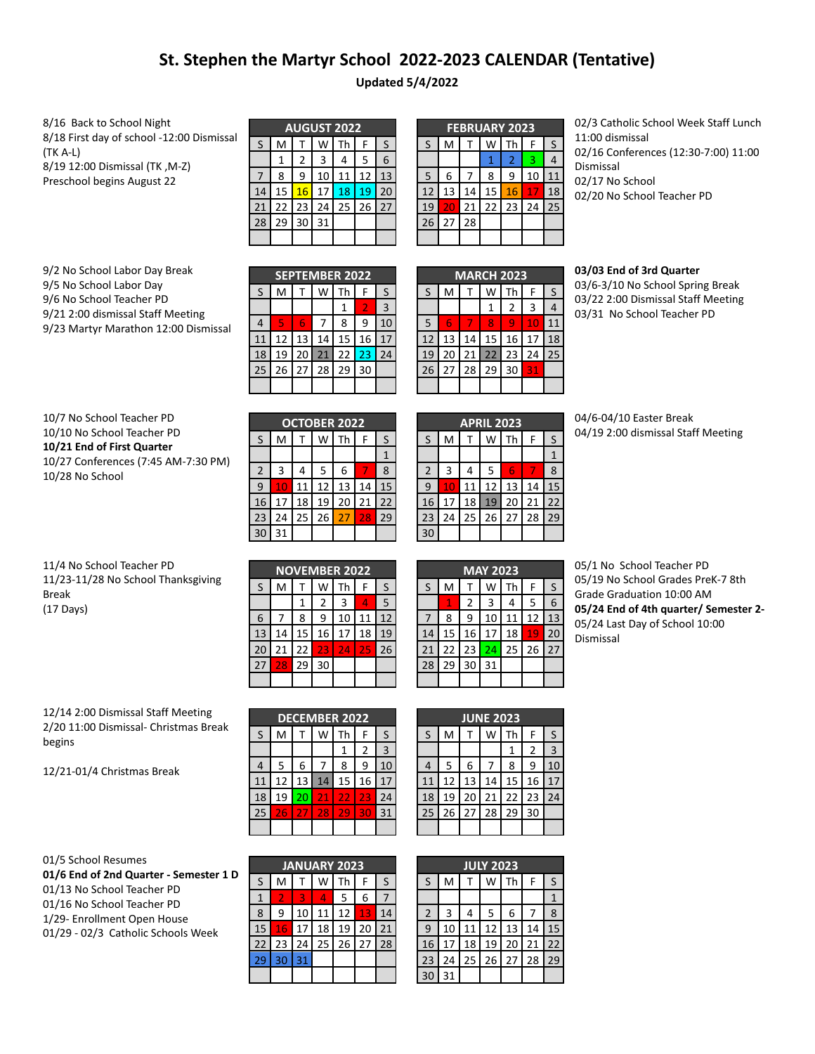## **St. Stephen the Martyr School 2022-2023 CALENDAR (Tentative)**

**Updated 5/4/2022**

8/16 Back to School Night 8/18 First day of school -12:00 Dismissal (TK A-L) 8/19 12:00 Dismissal (TK ,M-Z) Preschool begins August 22

|    | <b>AUGUST 2022</b> |    |    |    |       |              |  |  |  |  |
|----|--------------------|----|----|----|-------|--------------|--|--|--|--|
| S  | M                  |    | w  | Th | F     | $\mathsf{S}$ |  |  |  |  |
|    |                    | 2  | 3  | 4  | 5     | 6            |  |  |  |  |
|    | 8                  | 9  | 10 | 11 | 12    | 13           |  |  |  |  |
| 14 | 15                 | 16 | 17 | 18 | 19    | 20           |  |  |  |  |
| 21 | 22                 | 23 | 24 |    | 25 26 | 27           |  |  |  |  |
| 28 | 29                 | 30 | 31 |    |       |              |  |  |  |  |
|    |                    |    |    |    |       |              |  |  |  |  |

| <b>FEBRUARY 2023</b> |    |    |                 |           |    |    |  |  |  |
|----------------------|----|----|-----------------|-----------|----|----|--|--|--|
| $\sf S$              | M  | т  | W               | <b>Th</b> | F  | S  |  |  |  |
|                      |    |    | 1               | 2         | 3  | 4  |  |  |  |
| 5                    | 6  | 7  | 8               | 9         | 10 | 11 |  |  |  |
| 12                   | 13 | 14 | 15              | 16        | 17 | 18 |  |  |  |
| 19                   | 20 | 21 | 22 <sub>1</sub> | 23        | 24 | 25 |  |  |  |
| 26                   | 27 | 28 |                 |           |    |    |  |  |  |
|                      |    |    |                 |           |    |    |  |  |  |

02/3 Catholic School Week Staff Lunch 11:00 dismissal 02/16 Conferences (12:30-7:00) 11:00 Dismissal 02/17 No School 02/20 No School Teacher PD

9/2 No School Labor Day Break 9/5 No School Labor Day 9/6 No School Teacher PD 9/21 2:00 dismissal Staff Meeting 9/23 Martyr Marathon 12:00 Dismissal

|                | <b>SEPTEMBER 2022</b> |    |    |    |    |    |  |  |  |
|----------------|-----------------------|----|----|----|----|----|--|--|--|
| S              | M                     |    |    | Th | F  | S  |  |  |  |
|                |                       |    |    | 1  | 2  | 3  |  |  |  |
| $\overline{4}$ | 5                     | 6  |    | 8  | ٩  | 10 |  |  |  |
| 11             | 12                    | 13 | 14 | 15 | 16 | 17 |  |  |  |
| 18             | 19                    | 20 | 21 | 22 | 23 | 24 |  |  |  |
| 25             | 26                    | 27 | 28 | 29 | 30 |    |  |  |  |
|                |                       |    |    |    |    |    |  |  |  |

| <b>MARCH 2023</b> |    |              |    |    |                 |    |  |  |  |  |  |
|-------------------|----|--------------|----|----|-----------------|----|--|--|--|--|--|
| S                 | M  | $\mathsf{T}$ | W  | Th | F               | S  |  |  |  |  |  |
|                   |    |              | 1  | 2  | 3               | 4  |  |  |  |  |  |
| 5                 | 6  | 7            | 8  | q  | TO              | 11 |  |  |  |  |  |
| 12                | 13 | 14           | 15 | 16 | 17              | 18 |  |  |  |  |  |
| 19                | 20 | 21           | 22 | 23 | 24              | 25 |  |  |  |  |  |
| 26                | 27 | 28           | 29 | 30 | $3\overline{1}$ |    |  |  |  |  |  |
|                   |    |              |    |    |                 |    |  |  |  |  |  |

## **03/03 End of 3rd Quarter**

03/6-3/10 No School Spring Break 03/22 2:00 Dismissal Staff Meeting 03/31 No School Teacher PD

| 10/7 No School Teacher PD           |
|-------------------------------------|
| 10/10 No School Teacher PD          |
| 10/21 End of First Quarter          |
| 10/27 Conferences (7:45 AM-7:30 PM) |
| 10/28 No School                     |

| <b>OCTOBER 2022</b> |    |    |    |    |    |    |  |  |  |
|---------------------|----|----|----|----|----|----|--|--|--|
| S                   | M  | т  | W  | Th | F  | S  |  |  |  |
|                     |    |    |    |    |    | 1  |  |  |  |
| $\overline{2}$      | 3  | 4  | 5  | 6  |    | 8  |  |  |  |
| 9                   | 10 | 11 | 12 | 13 | 14 | 15 |  |  |  |
| 16                  | 17 | 18 | 19 | 20 | 21 | 22 |  |  |  |
| 23                  | 24 | 25 | 26 | 27 | 28 | 29 |  |  |  |
| 3 <sub>l</sub>      | 31 |    |    |    |    |    |  |  |  |

|                | <b>APRIL 2023</b> |    |    |           |    |    |  |  |  |  |
|----------------|-------------------|----|----|-----------|----|----|--|--|--|--|
| S              | M                 |    | W  | <b>Th</b> | F  | S  |  |  |  |  |
|                |                   |    |    |           |    |    |  |  |  |  |
| $\overline{2}$ | 3                 | 4  | 5  | 6         |    | 8  |  |  |  |  |
| q              | 10                | 11 | 12 | 13        | 14 | 15 |  |  |  |  |
| 16             | 17                | 18 | 19 | 20        | 21 | 22 |  |  |  |  |
| 23             | 24                | 25 | 26 | 27        | 28 | 29 |  |  |  |  |
| 3 <sub>0</sub> |                   |    |    |           |    |    |  |  |  |  |

04/6-04/10 Easter Break 04/19 2:00 dismissal Staff Meeting

| 11/4 No School Teacher PD          |
|------------------------------------|
| 11/23-11/28 No School Thanksgiving |
| Break                              |
| (17 Days)                          |

|    | <b>NOVEMBER 2022</b> |    |    |    |    |    |  |  |  |  |
|----|----------------------|----|----|----|----|----|--|--|--|--|
| S  | M                    |    | W  | Th | F  | S  |  |  |  |  |
|    |                      | 1  | 2  | 3  | Δ  | 5  |  |  |  |  |
| 6  |                      | 8  | 9  | 10 | 11 | 12 |  |  |  |  |
| 13 | 14                   | 15 | 16 | 17 | 18 | 19 |  |  |  |  |
| 20 | 21                   | 22 | 23 | 24 | 25 | 26 |  |  |  |  |
| 27 | 28                   | 29 | 30 |    |    |    |  |  |  |  |
|    |                      |    |    |    |    |    |  |  |  |  |

| <b>MAY 2023</b> |    |    |    |    |    |    |  |  |  |  |
|-----------------|----|----|----|----|----|----|--|--|--|--|
| S               | M  | т  | W  | Th | F  | S  |  |  |  |  |
|                 | 1  | 2  | 3  | 4  | 5  | 6  |  |  |  |  |
| 7               | 8  | 9  | 10 | 11 | 12 | 13 |  |  |  |  |
| 14              | 15 | 16 | 17 | 18 | 19 | 20 |  |  |  |  |
| 21              | 22 | 23 | 24 | 25 | 26 | 27 |  |  |  |  |
| 28              | 29 | 30 | 31 |    |    |    |  |  |  |  |
|                 |    |    |    |    |    |    |  |  |  |  |

05/1 No School Teacher PD 05/19 No School Grades PreK-7 8th Grade Graduation 10:00 AM **05/24 End of 4th quarter/ Semester 2-** 05/24 Last Day of School 10:00 Dismissal

12/14 2:00 Dismissal Staff Meeting 2/20 11:00 Dismissal- Christmas Break begins

12/21-01/4 Christmas Break

|    | <b>DECEMBER 2022</b>   |    |                 |    |    |    |  |  |  |  |
|----|------------------------|----|-----------------|----|----|----|--|--|--|--|
| S  | M<br>Th<br>S<br>w<br>F |    |                 |    |    |    |  |  |  |  |
|    |                        |    |                 |    | 2  | 3  |  |  |  |  |
| 4  | 5                      | 6  |                 | 8  | ٩  | 10 |  |  |  |  |
| 11 | 12                     | 13 | 14              | 15 | 16 | 17 |  |  |  |  |
| 18 | 19                     | 20 | $2\overline{1}$ | 22 | 23 | 24 |  |  |  |  |
| 25 | 26                     | 27 | 28              | 29 | 30 | 31 |  |  |  |  |
|    |                        |    |                 |    |    |    |  |  |  |  |

| <b>JUNE 2023</b> |    |    |    |    |    |    |  |  |  |  |  |
|------------------|----|----|----|----|----|----|--|--|--|--|--|
| S                | M  |    | W  | Th | F  | S  |  |  |  |  |  |
|                  |    |    |    | 1  | 2  | 3  |  |  |  |  |  |
| $\overline{4}$   | 5  | 6  |    | 8  | 9  | 10 |  |  |  |  |  |
| 11               | 12 | 13 | 14 | 15 | 16 | 17 |  |  |  |  |  |
| 18               | 19 | 20 | 21 | 22 | 23 | 24 |  |  |  |  |  |
| 25               | 26 | 27 | 28 | 29 | 30 |    |  |  |  |  |  |
|                  |    |    |    |    |    |    |  |  |  |  |  |

|  | 01/5 School Resumes |
|--|---------------------|
|  |                     |

**01/6 End of 2nd Quarter - Semester 1 D** 01/13 No School Teacher PD 01/16 No School Teacher PD 1/29- Enrollment Open House 01/29 - 02/3 Catholic Schools Week

| <b>JANUARY 2023</b> |                |    |    |                      |    |    |
|---------------------|----------------|----|----|----------------------|----|----|
| S                   | M              |    | W  | Th                   | F  | S  |
|                     | $\overline{2}$ | 3  | л  | 5                    | 6  |    |
| 8                   | ٩              | 10 | 11 | 12                   | 13 | 14 |
| 15                  | 16             | 17 | 18 | 19                   | 20 | 21 |
| 22                  | 23             | 24 |    | $25 \mid 26 \mid 27$ |    | 28 |
| 29                  | 30             | 31 |    |                      |    |    |
|                     |                |    |    |                      |    |    |

|                | <b>JULY 2023</b> |    |    |    |    |    |
|----------------|------------------|----|----|----|----|----|
| S              | M                |    |    | Th | F  | S  |
|                |                  |    |    |    |    | 1  |
| $\overline{2}$ | 3                | 4  | 5  | 6  |    | 8  |
| 9              | 10               | 11 | 12 | 13 | 14 | 15 |
| 16             |                  | 18 | 19 | 20 | 21 | 22 |
| 23             | 24               | 25 | 26 | 27 | 28 | 29 |
| ٩ſ             | 31               |    |    |    |    |    |